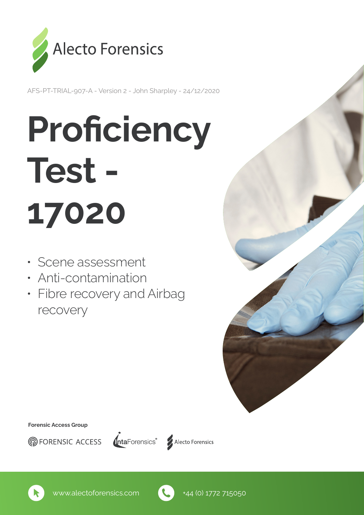

AFS-PT-TRIAL-907-A - Version 2 - John Sharpley - 24/12/2020

# **Proficiency** Test - 17020

- Scene assessment
- Anti-contamination
- Fibre recovery and Airbag recovery

Forensic Access Group







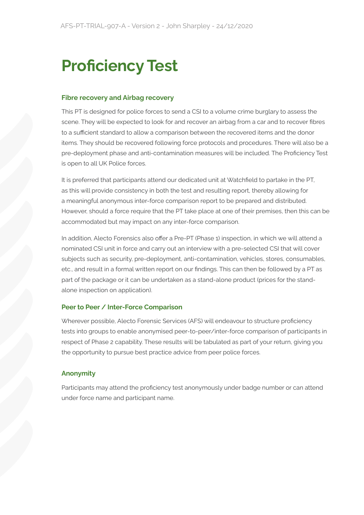# Proficiency Test

#### Fibre recovery and Airbag recovery

This PT is designed for police forces to send a CSI to a volume crime burglary to assess the scene. They will be expected to look for and recover an airbag from a car and to recover fibres to a sufficient standard to allow a comparison between the recovered items and the donor items. They should be recovered following force protocols and procedures. There will also be a pre-deployment phase and anti-contamination measures will be included. The Proficiency Test is open to all UK Police forces.

It is preferred that participants attend our dedicated unit at Watchfield to partake in the PT, as this will provide consistency in both the test and resulting report, thereby allowing for a meaningful anonymous inter-force comparison report to be prepared and distributed. However, should a force require that the PT take place at one of their premises, then this can be accommodated but may impact on any inter-force comparison.

In addition, Alecto Forensics also offer a Pre-PT (Phase 1) inspection, in which we will attend a nominated CSI unit in force and carry out an interview with a pre-selected CSI that will cover subjects such as security, pre-deployment, anti-contamination, vehicles, stores, consumables, etc., and result in a formal written report on our findings. This can then be followed by a PT as part of the package or it can be undertaken as a stand-alone product (prices for the standalone inspection on application).

#### Peer to Peer / Inter-Force Comparison

Wherever possible, Alecto Forensic Services (AFS) will endeavour to structure proficiency tests into groups to enable anonymised peer-to-peer/inter-force comparison of participants in respect of Phase 2 capability. These results will be tabulated as part of your return, giving you the opportunity to pursue best practice advice from peer police forces.

#### Anonymity

Participants may attend the proficiency test anonymously under badge number or can attend under force name and participant name.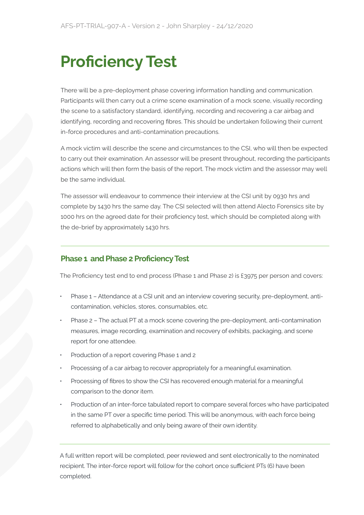# Proficiency Test

There will be a pre-deployment phase covering information handling and communication. Participants will then carry out a crime scene examination of a mock scene, visually recording the scene to a satisfactory standard, identifying, recording and recovering a car airbag and identifying, recording and recovering fibres. This should be undertaken following their current in-force procedures and anti-contamination precautions.

A mock victim will describe the scene and circumstances to the CSI, who will then be expected to carry out their examination. An assessor will be present throughout, recording the participants actions which will then form the basis of the report. The mock victim and the assessor may well be the same individual.

The assessor will endeavour to commence their interview at the CSI unit by 0930 hrs and complete by 1430 hrs the same day. The CSI selected will then attend Alecto Forensics site by 1000 hrs on the agreed date for their proficiency test, which should be completed along with the de-brief by approximately 1430 hrs.

## Phase 1 and Phase 2 Proficiency Test

The Proficiency test end to end process (Phase 1 and Phase 2) is £3975 per person and covers:

- Phase 1 Attendance at a CSI unit and an interview covering security, pre-deployment, anticontamination, vehicles, stores, consumables, etc.
- Phase 2 The actual PT at a mock scene covering the pre-deployment, anti-contamination measures, image recording, examination and recovery of exhibits, packaging, and scene report for one attendee.
- Production of a report covering Phase 1 and 2
- Processing of a car airbag to recover appropriately for a meaningful examination.
- Processing of fibres to show the CSI has recovered enough material for a meaningful comparison to the donor item.
- Production of an inter-force tabulated report to compare several forces who have participated in the same PT over a specific time period. This will be anonymous, with each force being referred to alphabetically and only being aware of their own identity.

A full written report will be completed, peer reviewed and sent electronically to the nominated recipient. The inter-force report will follow for the cohort once sufficient PTs (6) have been completed.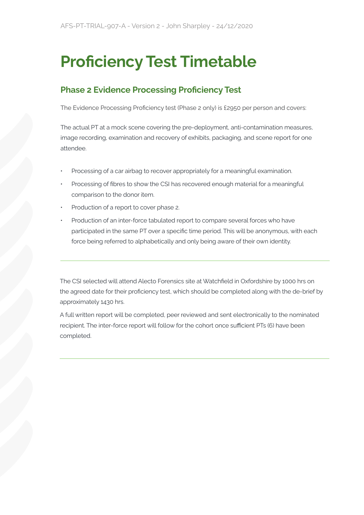# Proficiency Test Timetable

## Phase 2 Evidence Processing Proficiency Test

The Evidence Processing Proficiency test (Phase 2 only) is £2950 per person and covers:

The actual PT at a mock scene covering the pre-deployment, anti-contamination measures, image recording, examination and recovery of exhibits, packaging, and scene report for one attendee.

- Processing of a car airbag to recover appropriately for a meaningful examination.
- Processing of fibres to show the CSI has recovered enough material for a meaningful comparison to the donor item.
- Production of a report to cover phase 2.
- Production of an inter-force tabulated report to compare several forces who have participated in the same PT over a specific time period. This will be anonymous, with each force being referred to alphabetically and only being aware of their own identity.

The CSI selected will attend Alecto Forensics site at Watchfield in Oxfordshire by 1000 hrs on the agreed date for their proficiency test, which should be completed along with the de-brief by approximately 1430 hrs.

A full written report will be completed, peer reviewed and sent electronically to the nominated recipient. The inter-force report will follow for the cohort once sufficient PTs (6) have been completed.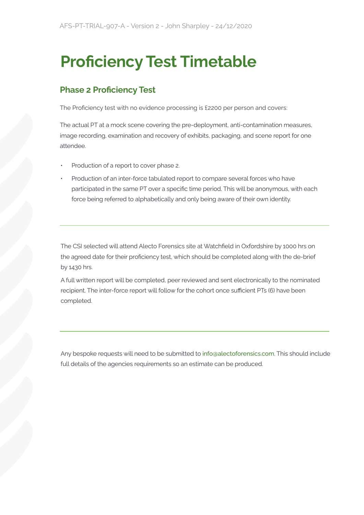# Proficiency Test Timetable

## Phase 2 Proficiency Test

The Proficiency test with no evidence processing is £2200 per person and covers:

The actual PT at a mock scene covering the pre-deployment, anti-contamination measures, image recording, examination and recovery of exhibits, packaging, and scene report for one attendee.

- Production of a report to cover phase 2.
- Production of an inter-force tabulated report to compare several forces who have participated in the same PT over a specific time period. This will be anonymous, with each force being referred to alphabetically and only being aware of their own identity.

The CSI selected will attend Alecto Forensics site at Watchfield in Oxfordshire by 1000 hrs on the agreed date for their proficiency test, which should be completed along with the de-brief by 1430 hrs.

A full written report will be completed, peer reviewed and sent electronically to the nominated recipient. The inter-force report will follow for the cohort once sufficient PTs (6) have been completed.

Any bespoke requests will need to be submitted to info@alectoforensics.com. This should include full details of the agencies requirements so an estimate can be produced.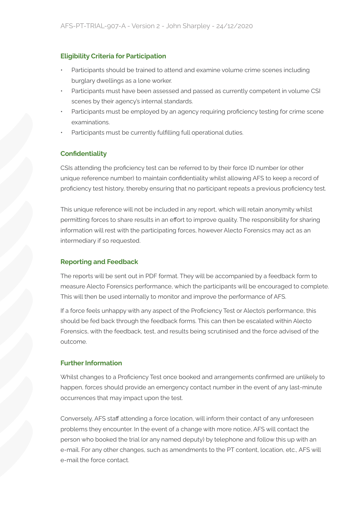## Eligibility Criteria for Participation

- Participants should be trained to attend and examine volume crime scenes including burglary dwellings as a lone worker.
- Participants must have been assessed and passed as currently competent in volume CSI scenes by their agency's internal standards.
- Participants must be employed by an agency requiring proficiency testing for crime scene examinations.
- Participants must be currently fulfilling full operational duties.

## **Confidentiality**

CSIs attending the proficiency test can be referred to by their force ID number (or other unique reference number) to maintain confidentiality whilst allowing AFS to keep a record of proficiency test history, thereby ensuring that no participant repeats a previous proficiency test.

This unique reference will not be included in any report, which will retain anonymity whilst permitting forces to share results in an effort to improve quality. The responsibility for sharing information will rest with the participating forces, however Alecto Forensics may act as an intermediary if so requested.

#### Reporting and Feedback

The reports will be sent out in PDF format. They will be accompanied by a feedback form to measure Alecto Forensics performance, which the participants will be encouraged to complete. This will then be used internally to monitor and improve the performance of AFS.

If a force feels unhappy with any aspect of the Proficiency Test or Alecto's performance, this should be fed back through the feedback forms. This can then be escalated within Alecto Forensics, with the feedback, test, and results being scrutinised and the force advised of the outcome.

## Further Information

Whilst changes to a Proficiency Test once booked and arrangements confirmed are unlikely to happen, forces should provide an emergency contact number in the event of any last-minute occurrences that may impact upon the test.

Conversely, AFS staff attending a force location, will inform their contact of any unforeseen problems they encounter. In the event of a change with more notice, AFS will contact the person who booked the trial (or any named deputy) by telephone and follow this up with an e-mail. For any other changes, such as amendments to the PT content, location, etc., AFS will e-mail the force contact.